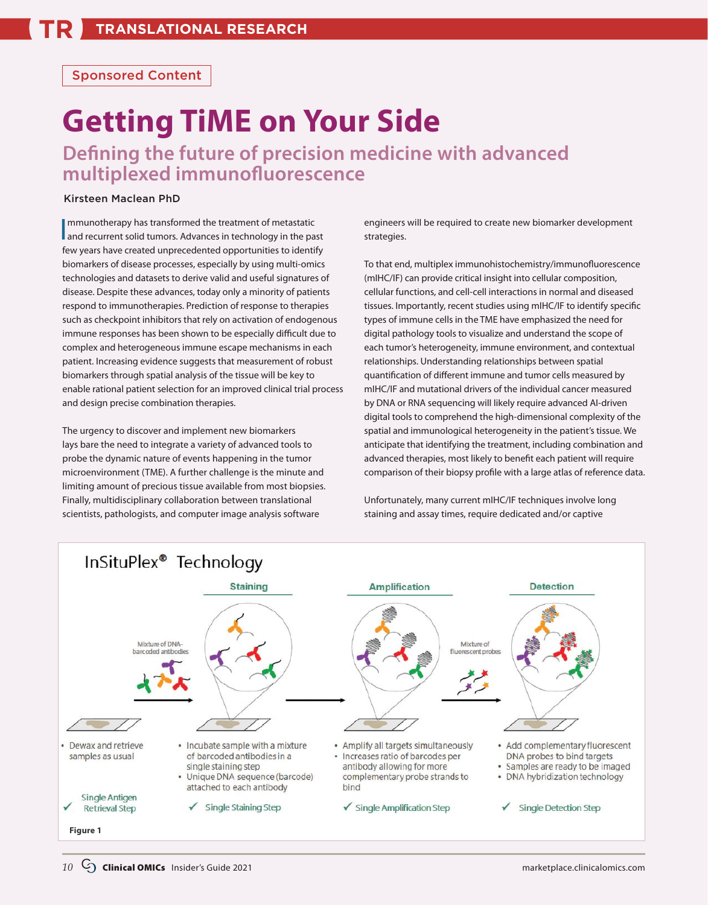## Sponsored Content

## **Getting TiME on Your Side**

**Defining the future of precision medicine with advanced multiplexed immunofluorescence**

## Kirsteen Maclean PhD

Immunotherapy has transformed the treatment of metastatic<br>and recurrent solid tumors. Advances in technology in the past few years have created unprecedented opportunities to identify biomarkers of disease processes, especially by using multi-omics technologies and datasets to derive valid and useful signatures of disease. Despite these advances, today only a minority of patients respond to immunotherapies. Prediction of response to therapies such as checkpoint inhibitors that rely on activation of endogenous immune responses has been shown to be especially difficult due to complex and heterogeneous immune escape mechanisms in each patient. Increasing evidence suggests that measurement of robust biomarkers through spatial analysis of the tissue will be key to enable rational patient selection for an improved clinical trial process and design precise combination therapies.

The urgency to discover and implement new biomarkers lays bare the need to integrate a variety of advanced tools to probe the dynamic nature of events happening in the tumor microenvironment (TME). A further challenge is the minute and limiting amount of precious tissue available from most biopsies. Finally, multidisciplinary collaboration between translational scientists, pathologists, and computer image analysis software

engineers will be required to create new biomarker development strategies.

To that end, multiplex immunohistochemistry/immunofluorescence (mIHC/IF) can provide critical insight into cellular composition, cellular functions, and cell-cell interactions in normal and diseased tissues. Importantly, recent studies using mIHC/IF to identify specific types of immune cells in the TME have emphasized the need for digital pathology tools to visualize and understand the scope of each tumor's heterogeneity, immune environment, and contextual relationships. Understanding relationships between spatial quantification of different immune and tumor cells measured by mIHC/IF and mutational drivers of the individual cancer measured by DNA or RNA sequencing will likely require advanced AI-driven digital tools to comprehend the high-dimensional complexity of the spatial and immunological heterogeneity in the patient's tissue. We anticipate that identifying the treatment, including combination and advanced therapies, most likely to benefit each patient will require comparison of their biopsy profile with a large atlas of reference data.

Unfortunately, many current mIHC/IF techniques involve long staining and assay times, require dedicated and/or captive